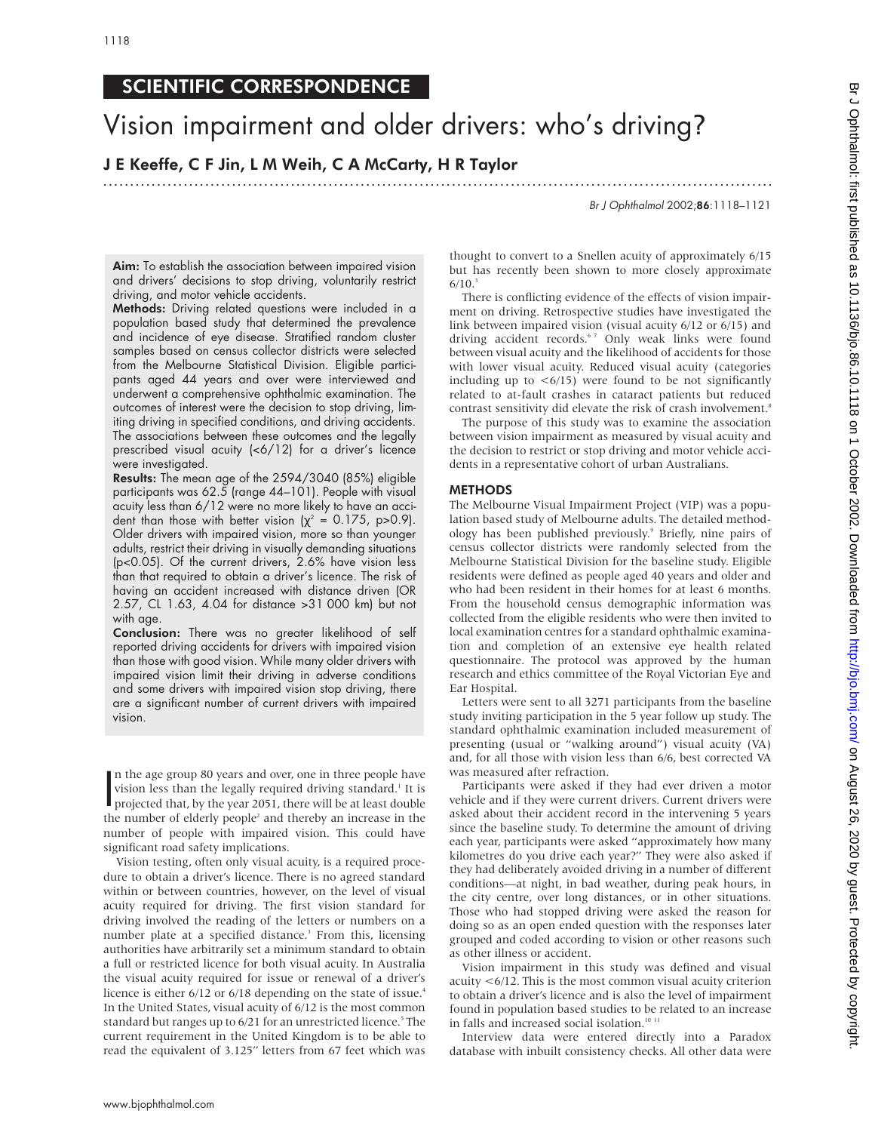# SCIENTIFIC CORRESPONDENCE

# Vision impairment and older drivers: who's driving?

# J E Keeffe, C F Jin, L M Weih, C A McCarty, H R Taylor

.............................................................................................................................

Br J Ophthalmol 2002;86:1118–1121

Aim: To establish the association between impaired vision and drivers' decisions to stop driving, voluntarily restrict driving, and motor vehicle accidents.

Methods: Driving related questions were included in a population based study that determined the prevalence and incidence of eye disease. Stratified random cluster samples based on census collector districts were selected from the Melbourne Statistical Division. Eligible participants aged 44 years and over were interviewed and underwent a comprehensive ophthalmic examination. The outcomes of interest were the decision to stop driving, limiting driving in specified conditions, and driving accidents. The associations between these outcomes and the legally prescribed visual acuity (<6/12) for a driver's licence were investigated.

Results: The mean age of the 2594/3040 (85%) eligible participants was 62.5 (range 44–101). People with visual acuity less than 6/12 were no more likely to have an accident than those with better vision ( $\chi^2$  = 0.175, p>0.9). Older drivers with impaired vision, more so than younger adults, restrict their driving in visually demanding situations (p<0.05). Of the current drivers, 2.6% have vision less than that required to obtain a driver's licence. The risk of having an accident increased with distance driven (OR 2.57, CL 1.63, 4.04 for distance >31 000 km) but not with age.

Conclusion: There was no greater likelihood of self reported driving accidents for drivers with impaired vision than those with good vision. While many older drivers with impaired vision limit their driving in adverse conditions and some drivers with impaired vision stop driving, there are a significant number of current drivers with impaired vision.

In the age group 80 years and over, one in three people have<br>vision less than the legally required driving standard.<sup>1</sup> It is<br>projected that, by the year 2051, there will be at least double<br>the number of alderly people<sup>2</sup> n the age group 80 years and over, one in three people have vision less than the legally required driving standard.<sup>1</sup> It is the number of elderly people<sup>2</sup> and thereby an increase in the number of people with impaired vision. This could have significant road safety implications.

Vision testing, often only visual acuity, is a required procedure to obtain a driver's licence. There is no agreed standard within or between countries, however, on the level of visual acuity required for driving. The first vision standard for driving involved the reading of the letters or numbers on a number plate at a specified distance.<sup>3</sup> From this, licensing authorities have arbitrarily set a minimum standard to obtain a full or restricted licence for both visual acuity. In Australia the visual acuity required for issue or renewal of a driver's licence is either 6/12 or 6/18 depending on the state of issue.<sup>4</sup> In the United States, visual acuity of 6/12 is the most common standard but ranges up to 6/21 for an unrestricted licence.<sup>5</sup> The current requirement in the United Kingdom is to be able to read the equivalent of 3.125" letters from 67 feet which was

thought to convert to a Snellen acuity of approximately 6/15 but has recently been shown to more closely approximate  $6/10.<sup>3</sup>$ 

There is conflicting evidence of the effects of vision impairment on driving. Retrospective studies have investigated the link between impaired vision (visual acuity 6/12 or 6/15) and driving accident records.<sup>67</sup> Only weak links were found between visual acuity and the likelihood of accidents for those with lower visual acuity. Reduced visual acuity (categories including up to  $\lt 6/15$ ) were found to be not significantly related to at-fault crashes in cataract patients but reduced contrast sensitivity did elevate the risk of crash involvement.<sup>8</sup>

The purpose of this study was to examine the association between vision impairment as measured by visual acuity and the decision to restrict or stop driving and motor vehicle accidents in a representative cohort of urban Australians.

#### **METHODS**

The Melbourne Visual Impairment Project (VIP) was a population based study of Melbourne adults. The detailed methodology has been published previously.9 Briefly, nine pairs of census collector districts were randomly selected from the Melbourne Statistical Division for the baseline study. Eligible residents were defined as people aged 40 years and older and who had been resident in their homes for at least 6 months. From the household census demographic information was collected from the eligible residents who were then invited to local examination centres for a standard ophthalmic examination and completion of an extensive eye health related questionnaire. The protocol was approved by the human research and ethics committee of the Royal Victorian Eye and Ear Hospital.

Letters were sent to all 3271 participants from the baseline study inviting participation in the 5 year follow up study. The standard ophthalmic examination included measurement of presenting (usual or "walking around") visual acuity (VA) and, for all those with vision less than 6/6, best corrected VA was measured after refraction.

Participants were asked if they had ever driven a motor vehicle and if they were current drivers. Current drivers were asked about their accident record in the intervening 5 years since the baseline study. To determine the amount of driving each year, participants were asked "approximately how many kilometres do you drive each year?" They were also asked if they had deliberately avoided driving in a number of different conditions—at night, in bad weather, during peak hours, in the city centre, over long distances, or in other situations. Those who had stopped driving were asked the reason for doing so as an open ended question with the responses later grouped and coded according to vision or other reasons such as other illness or accident.

Vision impairment in this study was defined and visual acuity <6/12. This is the most common visual acuity criterion to obtain a driver's licence and is also the level of impairment found in population based studies to be related to an increase in falls and increased social isolation.<sup>10 11</sup>

Interview data were entered directly into a Paradox database with inbuilt consistency checks. All other data were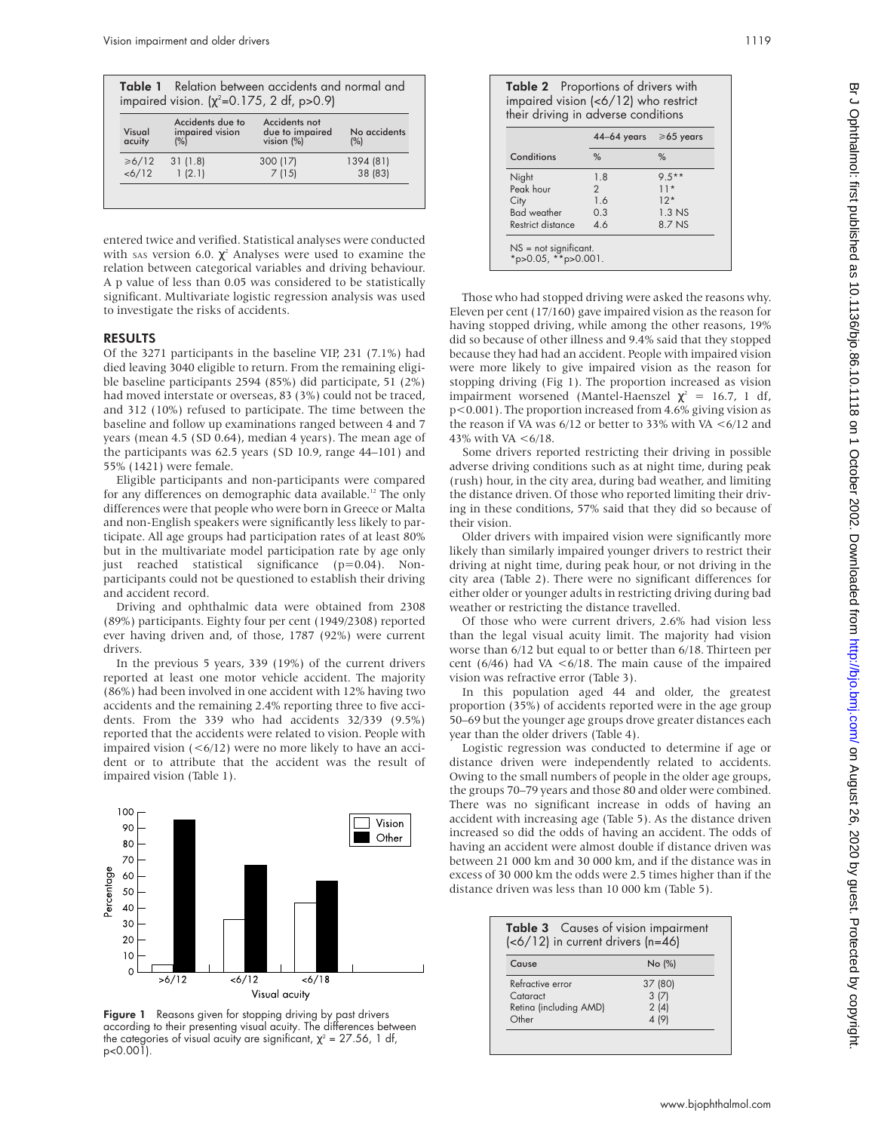|                  | <b>Table 1</b> Relation between accidents and normal and<br>impaired vision. $(\chi^2 = 0.175, 2 \text{ df}, p > 0.9)$ |                                                |                     |
|------------------|------------------------------------------------------------------------------------------------------------------------|------------------------------------------------|---------------------|
| Visual<br>acuity | Accidents due to<br>impaired vision<br>(%)                                                                             | Accidents not<br>due to impaired<br>vision (%) | No accidents<br>(%) |
| ≥6/12            | 31(1.8)                                                                                                                | 300 (17)                                       | 1394 (81)           |
| < 6/12           | 1(2.1)                                                                                                                 | 7(15)                                          | 38 (83)             |

entered twice and verified. Statistical analyses were conducted with sas version 6.0.  $\chi^2$  Analyses were used to examine the relation between categorical variables and driving behaviour. A p value of less than 0.05 was considered to be statistically significant. Multivariate logistic regression analysis was used to investigate the risks of accidents.

## RESULTS

Of the 3271 participants in the baseline VIP, 231 (7.1%) had died leaving 3040 eligible to return. From the remaining eligible baseline participants 2594 (85%) did participate, 51 (2%) had moved interstate or overseas, 83 (3%) could not be traced, and 312 (10%) refused to participate. The time between the baseline and follow up examinations ranged between 4 and 7 years (mean 4.5 (SD 0.64), median 4 years). The mean age of the participants was 62.5 years (SD 10.9, range 44–101) and 55% (1421) were female.

Eligible participants and non-participants were compared for any differences on demographic data available.<sup>12</sup> The only differences were that people who were born in Greece or Malta and non-English speakers were significantly less likely to participate. All age groups had participation rates of at least 80% but in the multivariate model participation rate by age only just reached statistical significance (p=0.04). Nonparticipants could not be questioned to establish their driving and accident record.

Driving and ophthalmic data were obtained from 2308 (89%) participants. Eighty four per cent (1949/2308) reported ever having driven and, of those, 1787 (92%) were current drivers.

In the previous 5 years, 339 (19%) of the current drivers reported at least one motor vehicle accident. The majority (86%) had been involved in one accident with 12% having two accidents and the remaining 2.4% reporting three to five accidents. From the 339 who had accidents 32/339 (9.5%) reported that the accidents were related to vision. People with impaired vision  $( $6/12$ )$  were no more likely to have an accident or to attribute that the accident was the result of impaired vision (Table 1).



Figure 1 Reasons given for stopping driving by past drivers according to their presenting visual acuity. The differences between the categories of visual acuity are significant,  $\chi^2$  = 27.56, 1 df, p<0.001).

| <b>Table 2</b> Proportions of drivers with |
|--------------------------------------------|
| impaired vision (<6/12) who restrict       |
| their driving in adverse conditions        |

|                    | 44–64 years $\geq 65$ years |                  |
|--------------------|-----------------------------|------------------|
| Conditions         | $\%$                        | $\%$             |
| Night              | 1.8                         | $9.5***$         |
| Peak hour          | 2                           | $11*$            |
| City               | 16                          | $12*$            |
| <b>Bad</b> weather | 0.3                         | 1.3 <sub>N</sub> |
| Restrict distance  | 46                          | 8.7 NS           |

Those who had stopped driving were asked the reasons why. Eleven per cent (17/160) gave impaired vision as the reason for having stopped driving, while among the other reasons, 19% did so because of other illness and 9.4% said that they stopped because they had had an accident. People with impaired vision were more likely to give impaired vision as the reason for stopping driving (Fig 1). The proportion increased as vision impairment worsened (Mantel-Haenszel  $\chi^2 = 16.7$ , 1 df, p<0.001). The proportion increased from 4.6% giving vision as the reason if VA was  $6/12$  or better to 33% with VA  $\leq 6/12$  and 43% with VA  $\lt 6/18$ .

Some drivers reported restricting their driving in possible adverse driving conditions such as at night time, during peak (rush) hour, in the city area, during bad weather, and limiting the distance driven. Of those who reported limiting their driving in these conditions, 57% said that they did so because of their vision.

Older drivers with impaired vision were significantly more likely than similarly impaired younger drivers to restrict their driving at night time, during peak hour, or not driving in the city area (Table 2). There were no significant differences for either older or younger adults in restricting driving during bad weather or restricting the distance travelled.

Of those who were current drivers, 2.6% had vision less than the legal visual acuity limit. The majority had vision worse than 6/12 but equal to or better than 6/18. Thirteen per cent (6/46) had VA  $\lt$  6/18. The main cause of the impaired vision was refractive error (Table 3).

In this population aged 44 and older, the greatest proportion (35%) of accidents reported were in the age group 50–69 but the younger age groups drove greater distances each year than the older drivers (Table 4).

Logistic regression was conducted to determine if age or distance driven were independently related to accidents. Owing to the small numbers of people in the older age groups, the groups 70–79 years and those 80 and older were combined. There was no significant increase in odds of having an accident with increasing age (Table 5). As the distance driven increased so did the odds of having an accident. The odds of having an accident were almost double if distance driven was between 21 000 km and 30 000 km, and if the distance was in excess of 30 000 km the odds were 2.5 times higher than if the distance driven was less than 10 000 km (Table 5).

| Table 3 Causes of vision impairment<br>$(6/12)$ in current drivers (n=46) |         |  |
|---------------------------------------------------------------------------|---------|--|
| Cause                                                                     | No (%)  |  |
| Refractive error                                                          | 37 (80) |  |
| Cataract                                                                  | 3(7)    |  |
| Retina (including AMD)                                                    | 2(4)    |  |
| Other                                                                     | 4 (9)   |  |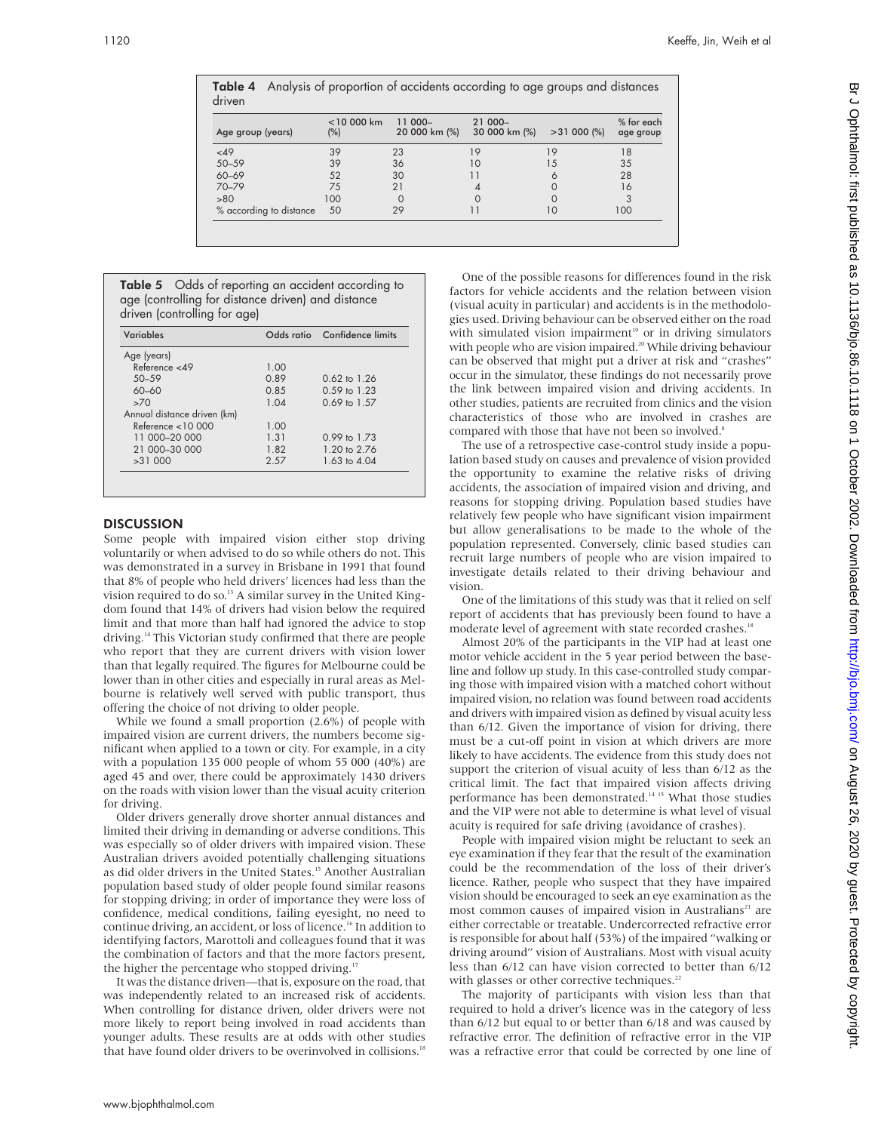| Age group (years)       | $<$ 10 000 km<br>$(\%)$ | 11 000-<br>20 000 km (%) | 21 000-<br>30 000 km (%) | $>31000$ (%) | % for each<br>age group |
|-------------------------|-------------------------|--------------------------|--------------------------|--------------|-------------------------|
| <49                     | 39                      | 23                       | 19                       | 19           | 18                      |
| $50 - 59$               | 39                      | 36                       | 10                       | 15           | 35                      |
| $60 - 69$               | 52                      | 30                       | 11                       | 6            | 28                      |
| 70-79                   | 75                      | 21                       |                          |              | 16                      |
| >80                     | 100                     |                          |                          |              | 3                       |
| % according to distance | 50                      | 29                       | 11                       | 10           | 100                     |

|        |  | Table 4 Analysis of proportion of accidents according to age groups and distances |
|--------|--|-----------------------------------------------------------------------------------|
| driven |  |                                                                                   |

| <b>Table 5</b> Odds of reporting an accident according to |  |  |  |  |
|-----------------------------------------------------------|--|--|--|--|
| age (controlling for distance driven) and distance        |  |  |  |  |
| driven (controlling for age)                              |  |  |  |  |

| Variables                   |      | Odds ratio Confidence limits |
|-----------------------------|------|------------------------------|
| Age (years)                 |      |                              |
| Reference $<$ 49            | 1.00 |                              |
| $50 - 59$                   | 0.89 | $0.62 \text{ to } 1.26$      |
| $60 - 60$                   | 0.85 | $0.59 \text{ to } 1.23$      |
| >70                         | 1.04 | $0.69 \text{ to } 1.57$      |
| Annual distance driven (km) |      |                              |
| Reference $<$ 10 000        | 1.00 |                              |
| 11 000-20 000               | 1.31 | $0.99 \text{ to } 1.73$      |
| 21 000-30 000               | 1.82 | 1.20 to 2.76                 |
| >31000                      | 2.57 | 1.63 to 4.04                 |

## **DISCUSSION**

Some people with impaired vision either stop driving voluntarily or when advised to do so while others do not. This was demonstrated in a survey in Brisbane in 1991 that found that 8% of people who held drivers' licences had less than the vision required to do so.<sup>13</sup> A similar survey in the United Kingdom found that 14% of drivers had vision below the required limit and that more than half had ignored the advice to stop driving.14 This Victorian study confirmed that there are people who report that they are current drivers with vision lower than that legally required. The figures for Melbourne could be lower than in other cities and especially in rural areas as Melbourne is relatively well served with public transport, thus offering the choice of not driving to older people.

While we found a small proportion (2.6%) of people with impaired vision are current drivers, the numbers become significant when applied to a town or city. For example, in a city with a population 135 000 people of whom 55 000 (40%) are aged 45 and over, there could be approximately 1430 drivers on the roads with vision lower than the visual acuity criterion for driving.

Older drivers generally drove shorter annual distances and limited their driving in demanding or adverse conditions. This was especially so of older drivers with impaired vision. These Australian drivers avoided potentially challenging situations as did older drivers in the United States.<sup>15</sup> Another Australian population based study of older people found similar reasons for stopping driving; in order of importance they were loss of confidence, medical conditions, failing eyesight, no need to continue driving, an accident, or loss of licence.<sup>16</sup> In addition to identifying factors, Marottoli and colleagues found that it was the combination of factors and that the more factors present, the higher the percentage who stopped driving.<sup>17</sup>

It was the distance driven—that is, exposure on the road, that was independently related to an increased risk of accidents. When controlling for distance driven, older drivers were not more likely to report being involved in road accidents than younger adults. These results are at odds with other studies that have found older drivers to be overinvolved in collisions.<sup>18</sup>

One of the possible reasons for differences found in the risk factors for vehicle accidents and the relation between vision (visual acuity in particular) and accidents is in the methodologies used. Driving behaviour can be observed either on the road with simulated vision impairment $19$  or in driving simulators with people who are vision impaired.<sup>20</sup> While driving behaviour can be observed that might put a driver at risk and "crashes" occur in the simulator, these findings do not necessarily prove the link between impaired vision and driving accidents. In other studies, patients are recruited from clinics and the vision characteristics of those who are involved in crashes are compared with those that have not been so involved.<sup>8</sup>

The use of a retrospective case-control study inside a population based study on causes and prevalence of vision provided the opportunity to examine the relative risks of driving accidents, the association of impaired vision and driving, and reasons for stopping driving. Population based studies have relatively few people who have significant vision impairment but allow generalisations to be made to the whole of the population represented. Conversely, clinic based studies can recruit large numbers of people who are vision impaired to investigate details related to their driving behaviour and vision.

One of the limitations of this study was that it relied on self report of accidents that has previously been found to have a moderate level of agreement with state recorded crashes.<sup>18</sup>

Almost 20% of the participants in the VIP had at least one motor vehicle accident in the 5 year period between the baseline and follow up study. In this case-controlled study comparing those with impaired vision with a matched cohort without impaired vision, no relation was found between road accidents and drivers with impaired vision as defined by visual acuity less than 6/12. Given the importance of vision for driving, there must be a cut-off point in vision at which drivers are more likely to have accidents. The evidence from this study does not support the criterion of visual acuity of less than 6/12 as the critical limit. The fact that impaired vision affects driving performance has been demonstrated.<sup>14 15</sup> What those studies and the VIP were not able to determine is what level of visual acuity is required for safe driving (avoidance of crashes).

People with impaired vision might be reluctant to seek an eye examination if they fear that the result of the examination could be the recommendation of the loss of their driver's licence. Rather, people who suspect that they have impaired vision should be encouraged to seek an eye examination as the most common causes of impaired vision in Australians<sup>21</sup> are either correctable or treatable. Undercorrected refractive error is responsible for about half (53%) of the impaired "walking or driving around" vision of Australians. Most with visual acuity less than 6/12 can have vision corrected to better than 6/12 with glasses or other corrective techniques.<sup>22</sup>

The majority of participants with vision less than that required to hold a driver's licence was in the category of less than 6/12 but equal to or better than 6/18 and was caused by refractive error. The definition of refractive error in the VIP was a refractive error that could be corrected by one line of